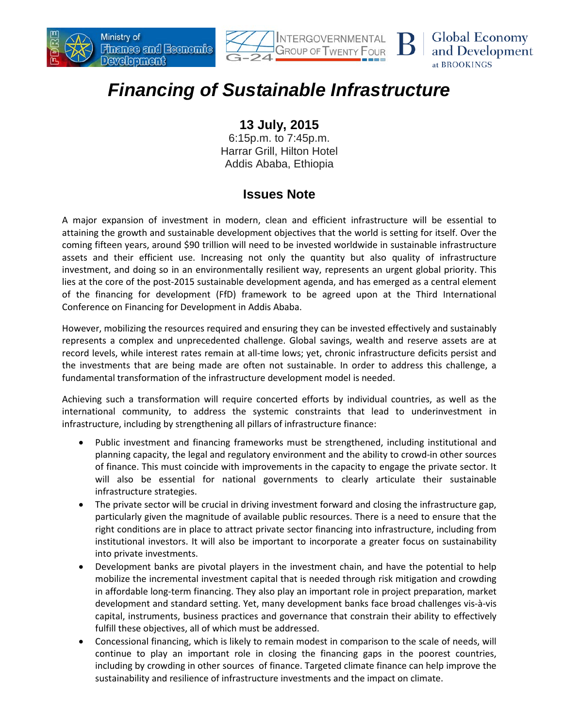





## *Financing of Sustainable Infrastructure*

## **13 July, 2015**

6:15p.m. to 7:45p.m. Harrar Grill, Hilton Hotel Addis Ababa, Ethiopia

## **Issues Note**

A major expansion of investment in modern, clean and efficient infrastructure will be essential to attaining the growth and sustainable development objectives that the world is setting for itself. Over the coming fifteen years, around \$90 trillion will need to be invested worldwide in sustainable infrastructure assets and their efficient use. Increasing not only the quantity but also quality of infrastructure investment, and doing so in an environmentally resilient way, represents an urgent global priority. This lies at the core of the post-2015 sustainable development agenda, and has emerged as a central element of the financing for development (FfD) framework to be agreed upon at the Third International Conference on Financing for Development in Addis Ababa.

However, mobilizing the resources required and ensuring they can be invested effectively and sustainably represents a complex and unprecedented challenge. Global savings, wealth and reserve assets are at record levels, while interest rates remain at all-time lows; yet, chronic infrastructure deficits persist and the investments that are being made are often not sustainable. In order to address this challenge, a fundamental transformation of the infrastructure development model is needed.

Achieving such a transformation will require concerted efforts by individual countries, as well as the international community, to address the systemic constraints that lead to underinvestment in infrastructure, including by strengthening all pillars of infrastructure finance:

- Public investment and financing frameworks must be strengthened, including institutional and planning capacity, the legal and regulatory environment and the ability to crowd-in other sources of finance. This must coincide with improvements in the capacity to engage the private sector. It will also be essential for national governments to clearly articulate their sustainable infrastructure strategies.
- The private sector will be crucial in driving investment forward and closing the infrastructure gap, particularly given the magnitude of available public resources. There is a need to ensure that the right conditions are in place to attract private sector financing into infrastructure, including from institutional investors. It will also be important to incorporate a greater focus on sustainability into private investments.
- Development banks are pivotal players in the investment chain, and have the potential to help mobilize the incremental investment capital that is needed through risk mitigation and crowding in affordable long-term financing. They also play an important role in project preparation, market development and standard setting. Yet, many development banks face broad challenges vis-à-vis capital, instruments, business practices and governance that constrain their ability to effectively fulfill these objectives, all of which must be addressed.
- Concessional financing, which is likely to remain modest in comparison to the scale of needs, will continue to play an important role in closing the financing gaps in the poorest countries, including by crowding in other sources of finance. Targeted climate finance can help improve the sustainability and resilience of infrastructure investments and the impact on climate.